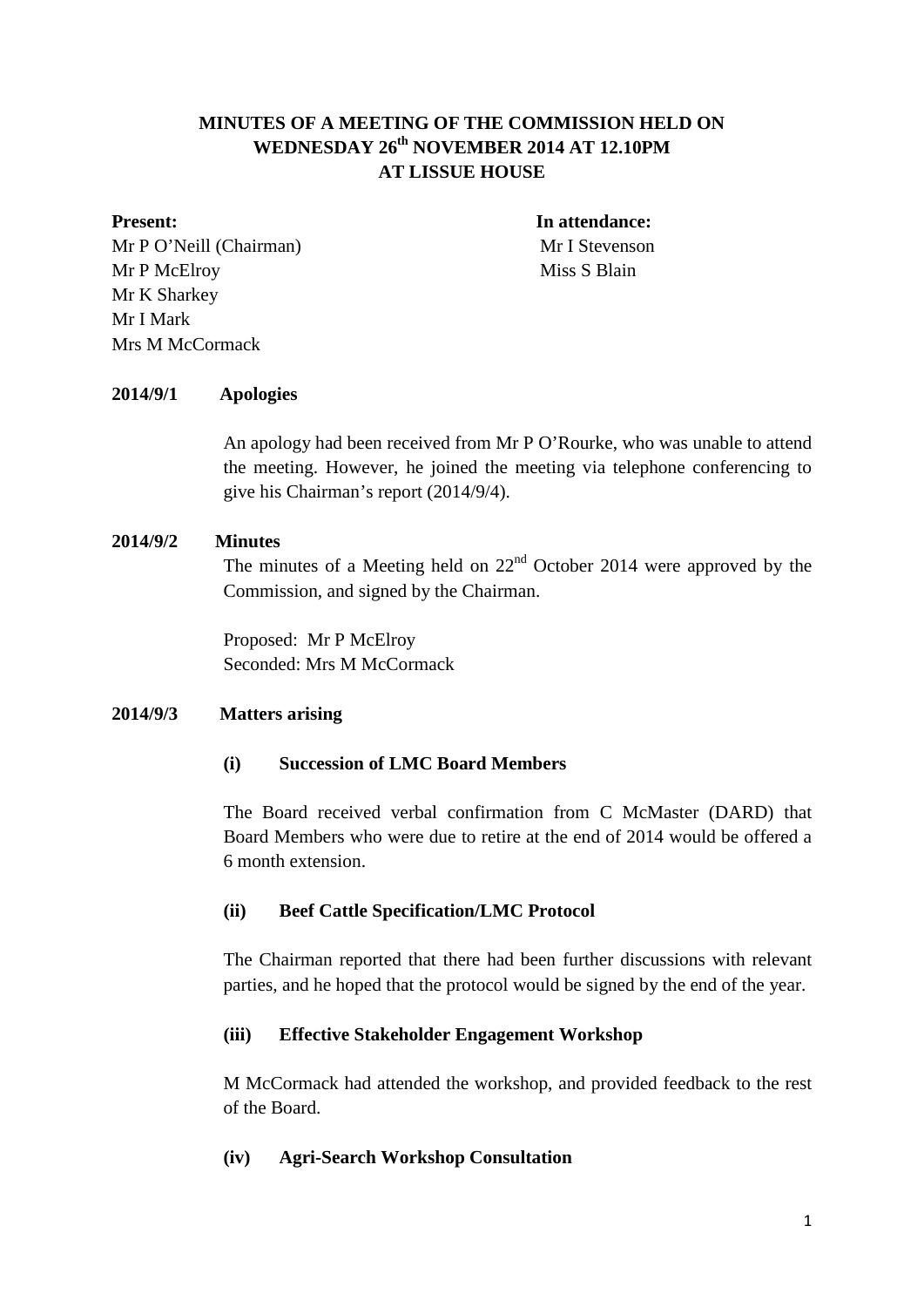# **MINUTES OF A MEETING OF THE COMMISSION HELD ON WEDNESDAY 26th NOVEMBER 2014 AT 12.10PM AT LISSUE HOUSE**

Mr P O'Neill (Chairman) Mr I Stevenson Mr P McElroy Miss S Blain Mr K Sharkey Mr I Mark Mrs M McCormack

**Present:** In attendance:

## **2014/9/1 Apologies**

An apology had been received from Mr P O'Rourke, who was unable to attend the meeting. However, he joined the meeting via telephone conferencing to give his Chairman's report (2014/9/4).

#### **2014/9/2 Minutes**

The minutes of a Meeting held on  $22<sup>nd</sup>$  October 2014 were approved by the Commission, and signed by the Chairman.

Proposed: Mr P McElroy Seconded: Mrs M McCormack

#### **2014/9/3 Matters arising**

#### **(i) Succession of LMC Board Members**

The Board received verbal confirmation from C McMaster (DARD) that Board Members who were due to retire at the end of 2014 would be offered a 6 month extension.

#### **(ii) Beef Cattle Specification/LMC Protocol**

The Chairman reported that there had been further discussions with relevant parties, and he hoped that the protocol would be signed by the end of the year.

## **(iii) Effective Stakeholder Engagement Workshop**

M McCormack had attended the workshop, and provided feedback to the rest of the Board.

#### **(iv) Agri-Search Workshop Consultation**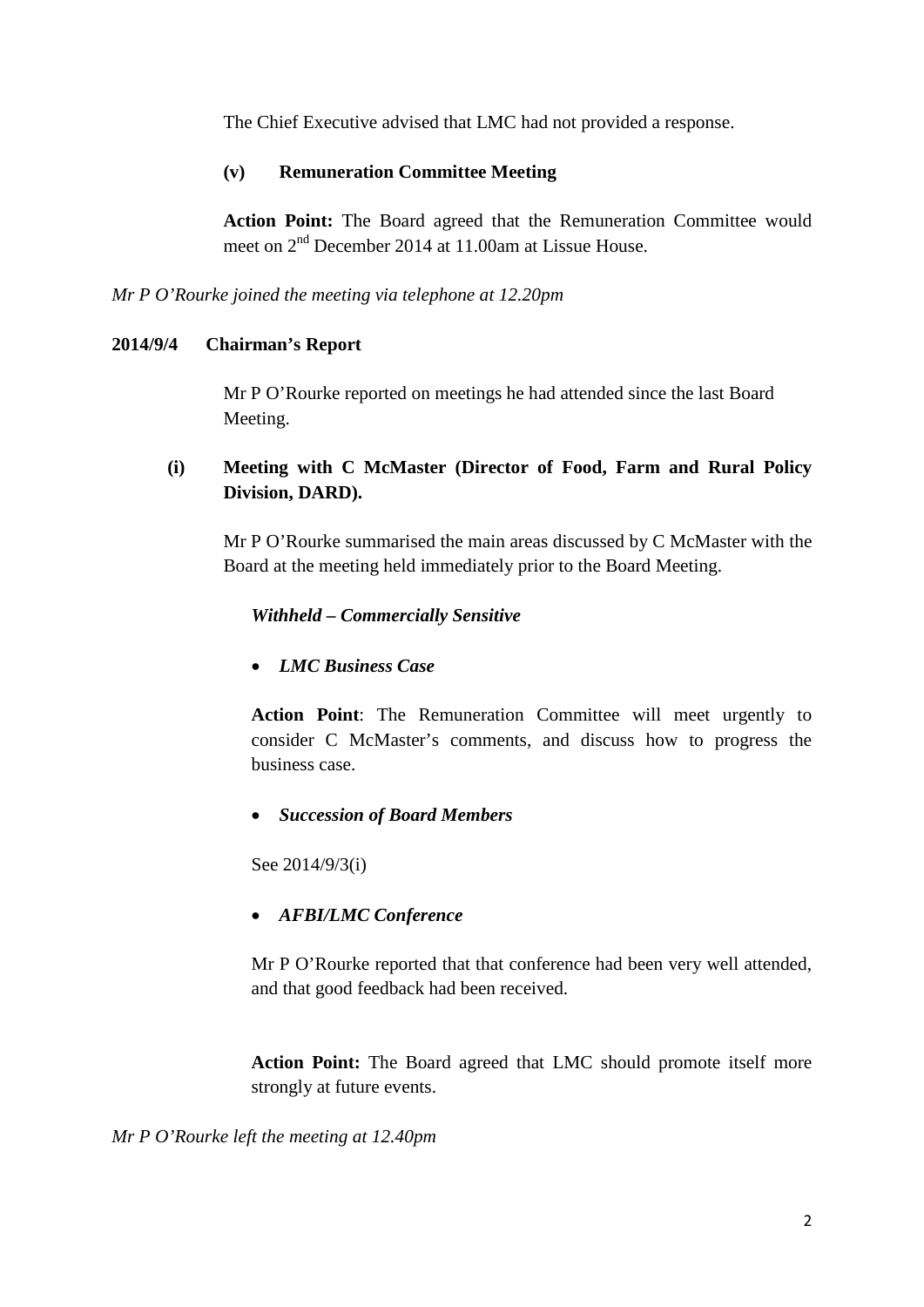The Chief Executive advised that LMC had not provided a response.

## **(v) Remuneration Committee Meeting**

**Action Point:** The Board agreed that the Remuneration Committee would meet on 2nd December 2014 at 11.00am at Lissue House.

*Mr P O'Rourke joined the meeting via telephone at 12.20pm*

## **2014/9/4 Chairman's Report**

Mr P O'Rourke reported on meetings he had attended since the last Board Meeting.

# **(i) Meeting with C McMaster (Director of Food, Farm and Rural Policy Division, DARD).**

Mr P O'Rourke summarised the main areas discussed by C McMaster with the Board at the meeting held immediately prior to the Board Meeting.

# *Withheld – Commercially Sensitive*

# • *LMC Business Case*

**Action Point**: The Remuneration Committee will meet urgently to consider C McMaster's comments, and discuss how to progress the business case.

# • *Succession of Board Members*

See 2014/9/3(i)

# • *AFBI/LMC Conference*

Mr P O'Rourke reported that that conference had been very well attended, and that good feedback had been received.

**Action Point:** The Board agreed that LMC should promote itself more strongly at future events.

*Mr P O'Rourke left the meeting at 12.40pm*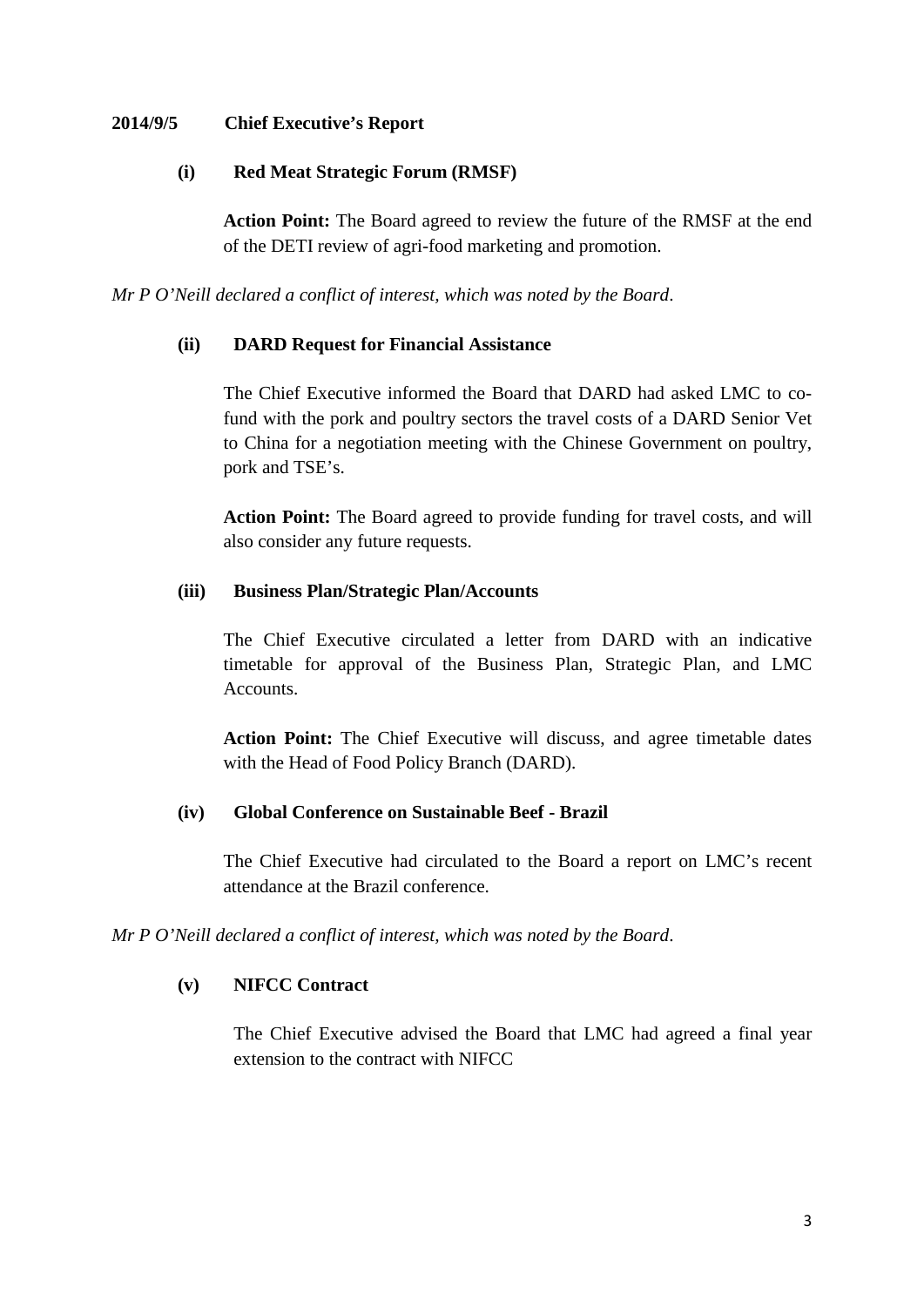## **2014/9/5 Chief Executive's Report**

## **(i) Red Meat Strategic Forum (RMSF)**

**Action Point:** The Board agreed to review the future of the RMSF at the end of the DETI review of agri-food marketing and promotion.

*Mr P O'Neill declared a conflict of interest, which was noted by the Board*.

# **(ii) DARD Request for Financial Assistance**

The Chief Executive informed the Board that DARD had asked LMC to cofund with the pork and poultry sectors the travel costs of a DARD Senior Vet to China for a negotiation meeting with the Chinese Government on poultry, pork and TSE's.

**Action Point:** The Board agreed to provide funding for travel costs, and will also consider any future requests.

## **(iii) Business Plan/Strategic Plan/Accounts**

The Chief Executive circulated a letter from DARD with an indicative timetable for approval of the Business Plan, Strategic Plan, and LMC Accounts.

**Action Point:** The Chief Executive will discuss, and agree timetable dates with the Head of Food Policy Branch (DARD).

# **(iv) Global Conference on Sustainable Beef - Brazil**

The Chief Executive had circulated to the Board a report on LMC's recent attendance at the Brazil conference.

*Mr P O'Neill declared a conflict of interest, which was noted by the Board*.

# **(v) NIFCC Contract**

The Chief Executive advised the Board that LMC had agreed a final year extension to the contract with NIFCC